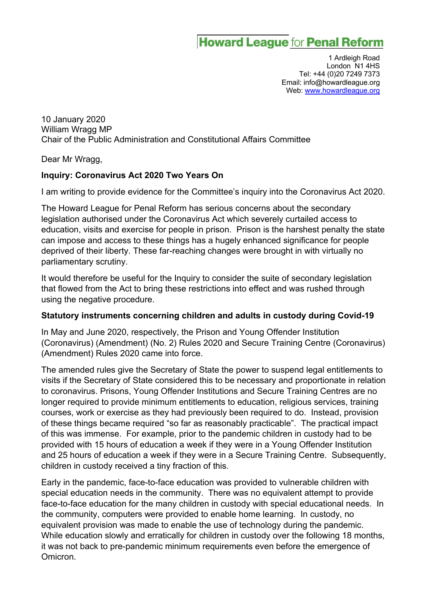# **Howard League for Penal Reform**

1 Ardleigh Road London N1 4HS Tel: +44 (0)20 7249 7373 Email: info@howardleague.org Web: www.howardleague.org

10 January 2020 William Wragg MP Chair of the Public Administration and Constitutional Affairs Committee

Dear Mr Wragg,

#### **Inquiry: Coronavirus Act 2020 Two Years On**

I am writing to provide evidence for the Committee's inquiry into the Coronavirus Act 2020.

The Howard League for Penal Reform has serious concerns about the secondary legislation authorised under the Coronavirus Act which severely curtailed access to education, visits and exercise for people in prison. Prison is the harshest penalty the state can impose and access to these things has a hugely enhanced significance for people deprived of their liberty. These far-reaching changes were brought in with virtually no parliamentary scrutiny.

It would therefore be useful for the Inquiry to consider the suite of secondary legislation that flowed from the Act to bring these restrictions into effect and was rushed through using the negative procedure.

#### **Statutory instruments concerning children and adults in custody during Covid-19**

In May and June 2020, respectively, the Prison and Young Offender Institution (Coronavirus) (Amendment) (No. 2) Rules 2020 and Secure Training Centre (Coronavirus) (Amendment) Rules 2020 came into force.

The amended rules give the Secretary of State the power to suspend legal entitlements to visits if the Secretary of State considered this to be necessary and proportionate in relation to coronavirus. Prisons, Young Offender Institutions and Secure Training Centres are no longer required to provide minimum entitlements to education, religious services, training courses, work or exercise as they had previously been required to do. Instead, provision of these things became required "so far as reasonably practicable". The practical impact of this was immense. For example, prior to the pandemic children in custody had to be provided with 15 hours of education a week if they were in a Young Offender Institution and 25 hours of education a week if they were in a Secure Training Centre. Subsequently, children in custody received a tiny fraction of this.

Early in the pandemic, face-to-face education was provided to vulnerable children with special education needs in the community. There was no equivalent attempt to provide face-to-face education for the many children in custody with special educational needs. In the community, computers were provided to enable home learning. In custody, no equivalent provision was made to enable the use of technology during the pandemic. While education slowly and erratically for children in custody over the following 18 months, it was not back to pre-pandemic minimum requirements even before the emergence of Omicron.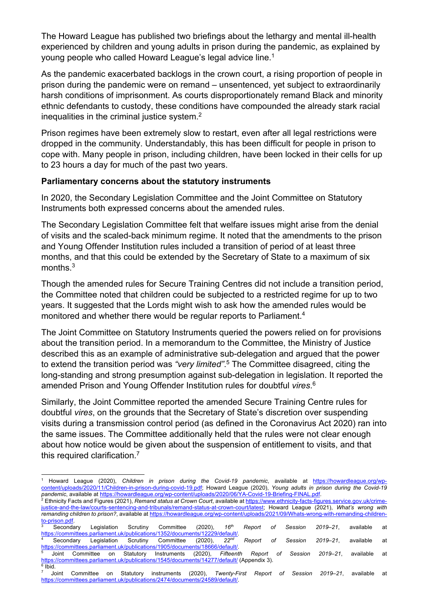The Howard League has published two briefings about the lethargy and mental ill-health experienced by children and young adults in prison during the pandemic, as explained by young people who called Howard League's legal advice line.<sup>1</sup>

As the pandemic exacerbated backlogs in the crown court, a rising proportion of people in prison during the pandemic were on remand – unsentenced, yet subject to extraordinarily harsh conditions of imprisonment. As courts disproportionately remand Black and minority ethnic defendants to custody, these conditions have compounded the already stark racial inequalities in the criminal justice system. $<sup>2</sup>$ </sup>

Prison regimes have been extremely slow to restart, even after all legal restrictions were dropped in the community. Understandably, this has been difficult for people in prison to cope with. Many people in prison, including children, have been locked in their cells for up to 23 hours a day for much of the past two years.

#### **Parliamentary concerns about the statutory instruments**

In 2020, the Secondary Legislation Committee and the Joint Committee on Statutory Instruments both expressed concerns about the amended rules.

The Secondary Legislation Committee felt that welfare issues might arise from the denial of visits and the scaled-back minimum regime. It noted that the amendments to the prison and Young Offender Institution rules included a transition of period of at least three months, and that this could be extended by the Secretary of State to a maximum of six months.3

Though the amended rules for Secure Training Centres did not include a transition period, the Committee noted that children could be subjected to a restricted regime for up to two years. It suggested that the Lords might wish to ask how the amended rules would be monitored and whether there would be regular reports to Parliament.<sup>4</sup>

The Joint Committee on Statutory Instruments queried the powers relied on for provisions about the transition period. In a memorandum to the Committee, the Ministry of Justice described this as an example of administrative sub-delegation and argued that the power to extend the transition period was *"very limited"*. <sup>5</sup> The Committee disagreed, citing the long-standing and strong presumption against sub-delegation in legislation. It reported the amended Prison and Young Offender Institution rules for doubtful *vires*. 6

Similarly, the Joint Committee reported the amended Secure Training Centre rules for doubtful *vires*, on the grounds that the Secretary of State's discretion over suspending visits during a transmission control period (as defined in the Coronavirus Act 2020) ran into the same issues. The Committee additionally held that the rules were not clear enough about how notice would be given about the suspension of entitlement to visits, and that this required clarification.<sup>7</sup>

<sup>1</sup> Howard League (2020), *Children in prison during the Covid-19 pandemic*, available at https://howardleague.org/wpcontent/uploads/2020/11/Children-in-prison-during-covid-19.pdf; Howard League (2020), *Young adults in prison during the Covid-19 pandemic*, available at https://howardleague.org/wp-content/uploads/2020/06/YA-Covid-19-Briefing-FINAL.pdf.

<sup>2</sup> Ethnicity Facts and Figures (2021), *Remand status at Crown Court*, available at https://www.ethnicity-facts-figures.service.gov.uk/crimejustice-and-the-law/courts-sentencing-and-tribunals/remand-status-at-crown-court/latest; Howard League (2021), *What's wrong with remanding children to prison?*, available at https://howardleague.org/wp-content/uploads/2021/09/Whats-wrong-with-remanding-children-

to-prison.pdf.<br> **Secondary** <sup>3</sup> Secondary Legislation Scrutiny Committee (2020), *16th Report of Session 2019–21*, available at https://committees.parliament.uk/publications/1352/documents/12229/default/. 4 Secondary Legislation Scrutiny Committee (2020), *22nd Report of Session 2019–21*, available at https://committees.parliament.uk/publications/1905/documents/18666/default/. 5 Joint Committee on Statutory Instruments (2020), *Fifteenth Report of Session 2019–21*, available at

https://committees.parliament.uk/publications/1545/documents/14277/default/ (Appendix 3).

 $\frac{6}{7}$  Ibid.<br>
7 Joint Committee on Statutory instruments (2020), Twenty-First Report of Session 2019–21, available at https://committees.parliament.uk/publications/2474/documents/24589/default/.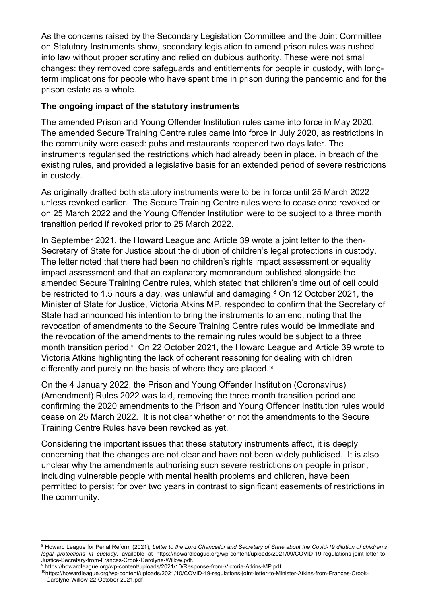As the concerns raised by the Secondary Legislation Committee and the Joint Committee on Statutory Instruments show, secondary legislation to amend prison rules was rushed into law without proper scrutiny and relied on dubious authority. These were not small changes: they removed core safeguards and entitlements for people in custody, with longterm implications for people who have spent time in prison during the pandemic and for the prison estate as a whole.

## **The ongoing impact of the statutory instruments**

The amended Prison and Young Offender Institution rules came into force in May 2020. The amended Secure Training Centre rules came into force in July 2020, as restrictions in the community were eased: pubs and restaurants reopened two days later. The instruments regularised the restrictions which had already been in place, in breach of the existing rules, and provided a legislative basis for an extended period of severe restrictions in custody.

As originally drafted both statutory instruments were to be in force until 25 March 2022 unless revoked earlier. The Secure Training Centre rules were to cease once revoked or on 25 March 2022 and the Young Offender Institution were to be subject to a three month transition period if revoked prior to 25 March 2022.

In September 2021, the Howard League and Article 39 wrote a joint letter to the then-Secretary of State for Justice about the dilution of children's legal protections in custody. The letter noted that there had been no children's rights impact assessment or equality impact assessment and that an explanatory memorandum published alongside the amended Secure Training Centre rules, which stated that children's time out of cell could be restricted to 1.5 hours a day, was unlawful and damaging. $8$  On 12 October 2021, the Minister of State for Justice, Victoria Atkins MP, responded to confirm that the Secretary of State had announced his intention to bring the instruments to an end, noting that the revocation of amendments to the Secure Training Centre rules would be immediate and the revocation of the amendments to the remaining rules would be subject to a three month transition period.<sup>9</sup> On 22 October 2021, the Howard League and Article 39 wrote to Victoria Atkins highlighting the lack of coherent reasoning for dealing with children differently and purely on the basis of where they are placed.<sup>10</sup>

On the 4 January 2022, the Prison and Young Offender Institution (Coronavirus) (Amendment) Rules 2022 was laid, removing the three month transition period and confirming the 2020 amendments to the Prison and Young Offender Institution rules would cease on 25 March 2022. It is not clear whether or not the amendments to the Secure Training Centre Rules have been revoked as yet.

Considering the important issues that these statutory instruments affect, it is deeply concerning that the changes are not clear and have not been widely publicised. It is also unclear why the amendments authorising such severe restrictions on people in prison, including vulnerable people with mental health problems and children, have been permitted to persist for over two years in contrast to significant easements of restrictions in the community.

<sup>&</sup>lt;sup>8</sup> Howard League for Penal Reform (2021), Letter to the Lord Chancellor and Secretary of State about the Covid-19 dilution of children's *legal protections in custody*, available at https://howardleague.org/wp-content/uploads/2021/09/COVID-19-regulations-joint-letter-to-Justice-Secretary-from-Frances-Crook-Carolyne-Willow.pdf.

<sup>9</sup> https://howardleague.org/wp-content/uploads/2021/10/Response-from-Victoria-Atkins-MP.pdf

<sup>10</sup>https://howardleague.org/wp-content/uploads/2021/10/COVID-19-regulations-joint-letter-to-Minister-Atkins-from-Frances-Crook-Carolyne-Willow-22-October-2021.pdf